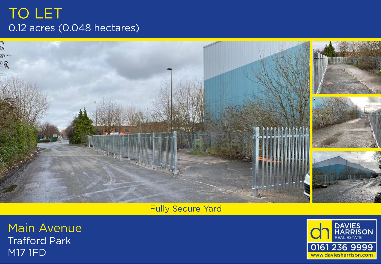# TO LET 0.12 acres (0.048 hectares)



**Fully Secure Yard** 

**Main Avenue Trafford Park M17 1FD**